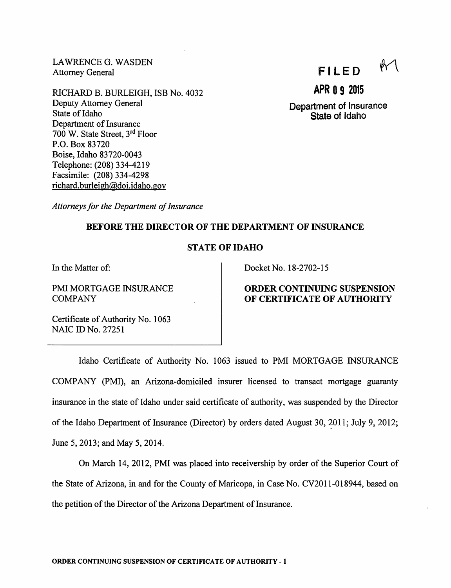LAWRENCE G. WASDEN Attorney General

RICHARD B. BURLEIGH, ISB No. 4032 Deputy Attorney General State of Idaho Department of Insurance 700 W. State Street, 3<sup>rd</sup> Floor P.O. Box 83720 Boise, Idaho 83720-0043 Telephone: (208) 334-4219 Facsimile: (208) 334-4298 richard.burleigh@doi.idaho.gov

FILED

APR 0 9 2015

Department of Insurance State of Idaho

Attorneys for the Department of Insurance

# BEFORE THE DIRECTOR OF THE DEPARTMENT OF INSURANCE

### STATE OF IDAHO

In the Matter of:

PMI MORTGAGE INSURANCE COMPANY

Docket No. 18-2702-15

# ORDER CONTINUING SUSPENSION OF CERTIFICATE OF AUTHORITY

Certificate of Authority No. 1063 NAIC ID No. 27251

Idaho Certificate of Authority No. 1063 issued to PMI MORTGAGE INSURANCE COMPANY (PMI), an Arizona-domiciled insurer licensed to transact mortgage guaranty insurance in the state of Idaho under said certificate of authority, was suspended by the Director of the Idaho Department of Insurance (Director) by orders dated August 30, 2011; July 9, 2012; June 5,2013; and May 5, 2014.

On March 14, 2012, PMI was placed into receivership by order of the Superior Court of the State of Arizona, in and for the County of Maricopa, in Case No. CV2011-018944, based on the petition of the Director of the Arizona Department of Insurance.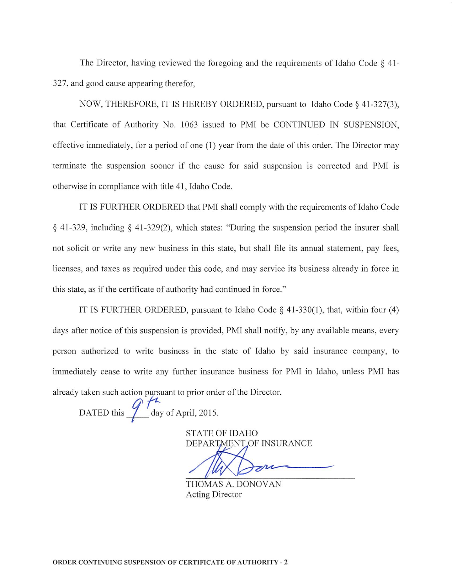The Director, having reviewed the foregoing and the requirements of Idaho Code  $\S$  41-327, and good cause appearing therefor,

NOW, THEREFORE, IT IS HEREBY ORDERED, pursuant to Idaho Code  $\S$  41-327(3), that Certificate of Authority No. 1063 issued to PMI be CONTINUED IN SUSPENSION, effective immediately, for a period of one (1) year from the date ofthis order. The Director may terminate the suspension sooner if the cause for said suspension is corrected and PMI is otherwise in compliance with title 41, Idaho Code.

IT IS FURTHER ORDERED that PMI shall comply with the requirements of Idaho Code § 41-329, including § 41-329(2), which states: "During the suspension period the insurer shall not solicit or write any new business in this state, but shall file its annual statement, pay fees, licenses, and taxes as required under this code, and may service its business already in force in this state, as if the certificate of authority had continued in force."

IT IS FURTHER ORDERED, pursuant to Idaho Code  $\S$  41-330(1), that, within four (4) days after notice of this suspension is provided, PMI shall notify, by any available means, every person authorized to write business in the state of Idaho by said insurance company, to immediately cease to write any further insurance business for PMI in Idaho, unless PMI has already taken such action pursuant to prior order of the Director.

DATED this  $\int_{\frac{\text{day of April, 2015}}{4}}^{+\infty}$ 

STATE OF IDAHO DEPARTMENT.OF INSURANCE

THOMAS A. DONOVAN Acting Director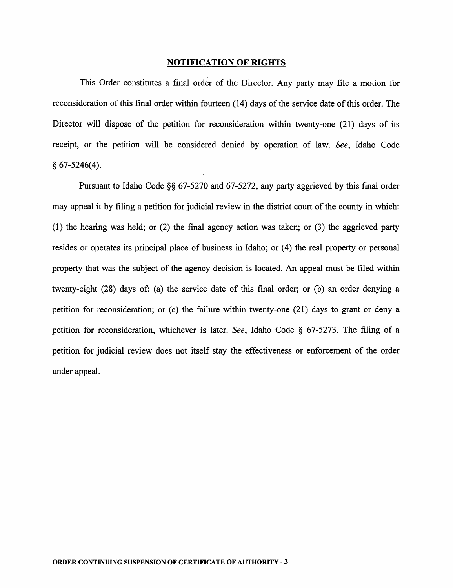#### NOTIFICATION OF RIGHTS

This Order constitutes a final order of the Director. Any party may file a motion for reconsideration of this final order within fourteen (14) days of the service date of this order. The Director will dispose of the petition for reconsideration within twenty-one (21) days of its receipt, or the petition will be considered denied by operation of law. See, Idaho Code  $§ 67-5246(4).$ 

Pursuant to Idaho Code §§ 67-5270 and 67-5272, any party aggrieved by this final order may appeal it by filing a petition for judicial review in the district court of the county in which: (1) the hearing was held; or (2) the final agency action was taken; or (3) the aggrieved party resides or operates its principal place of business in Idaho; or (4) the real property or personal property that was the subject of the agency decision is located. An appeal must be filed within twenty-eight (28) days of: (a) the service date of this final order; or (b) an order denying a petition for reconsideration; or (c) the failure within twenty-one (21) days to grant or deny a petition for reconsideration, whichever is later. See, Idaho Code § 67-5273. The filing of a petition for judicial review does not itself stay the effectiveness or enforcement of the order under appeal.